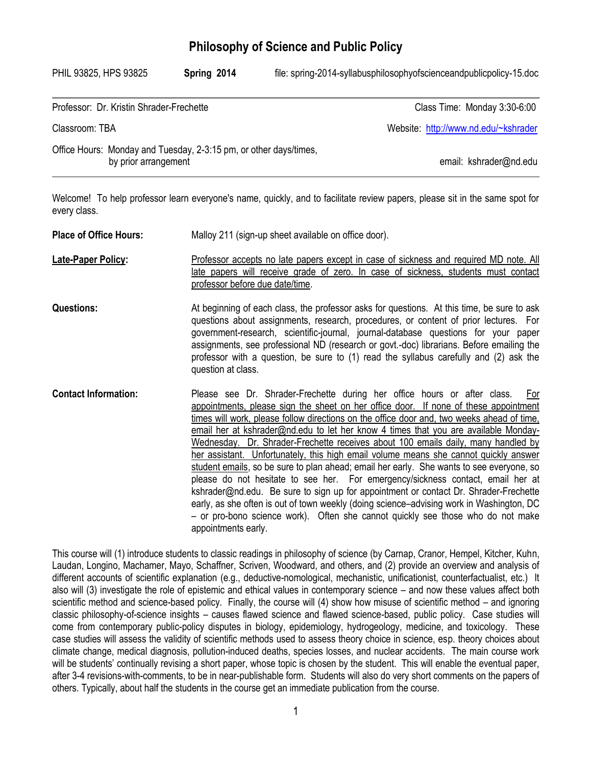### **Philosophy of Science and Public Policy**

| PHIL 93825, HPS 93825                                                                     | Spring 2014 | file: spring-2014-syllabusphilosophyofscienceandpublicpolicy-15.doc |
|-------------------------------------------------------------------------------------------|-------------|---------------------------------------------------------------------|
| Professor: Dr. Kristin Shrader-Frechette                                                  |             | Class Time: Monday 3:30-6:00                                        |
| Classroom: TBA                                                                            |             | Website: http://www.nd.edu/~kshrader                                |
| Office Hours: Monday and Tuesday, 2-3:15 pm, or other days/times,<br>by prior arrangement |             | email: kshrader@nd.edu                                              |

Welcome! To help professor learn everyone's name, quickly, and to facilitate review papers, please sit in the same spot for every class.

| <b>Place of Office Hours:</b> | Malloy 211 (sign-up sheet available on office door).                                                                                                                                                                                                                                                                                                                                                                                                                                                                                                                                                                                                                                                                                                                                                                                                                                                                                                                                                                   |
|-------------------------------|------------------------------------------------------------------------------------------------------------------------------------------------------------------------------------------------------------------------------------------------------------------------------------------------------------------------------------------------------------------------------------------------------------------------------------------------------------------------------------------------------------------------------------------------------------------------------------------------------------------------------------------------------------------------------------------------------------------------------------------------------------------------------------------------------------------------------------------------------------------------------------------------------------------------------------------------------------------------------------------------------------------------|
| <b>Late-Paper Policy:</b>     | Professor accepts no late papers except in case of sickness and required MD note. All<br>late papers will receive grade of zero. In case of sickness, students must contact<br>professor before due date/time.                                                                                                                                                                                                                                                                                                                                                                                                                                                                                                                                                                                                                                                                                                                                                                                                         |
| <b>Questions:</b>             | At beginning of each class, the professor asks for questions. At this time, be sure to ask<br>questions about assignments, research, procedures, or content of prior lectures. For<br>government-research, scientific-journal, journal-database questions for your paper<br>assignments, see professional ND (research or govt.-doc) librarians. Before emailing the<br>professor with a question, be sure to (1) read the syllabus carefully and (2) ask the<br>question at class.                                                                                                                                                                                                                                                                                                                                                                                                                                                                                                                                    |
| <b>Contact Information:</b>   | Please see Dr. Shrader-Frechette during her office hours or after class.<br>For<br>appointments, please sign the sheet on her office door. If none of these appointment<br>times will work, please follow directions on the office door and, two weeks ahead of time,<br>email her at kshrader@nd.edu to let her know 4 times that you are available Monday-<br>Wednesday. Dr. Shrader-Frechette receives about 100 emails daily, many handled by<br>her assistant. Unfortunately, this high email volume means she cannot quickly answer<br>student emails, so be sure to plan ahead; email her early. She wants to see everyone, so<br>please do not hesitate to see her. For emergency/sickness contact, email her at<br>kshrader@nd.edu. Be sure to sign up for appointment or contact Dr. Shrader-Frechette<br>early, as she often is out of town weekly (doing science–advising work in Washington, DC<br>- or pro-bono science work). Often she cannot quickly see those who do not make<br>appointments early. |

This course will (1) introduce students to classic readings in philosophy of science (by Carnap, Cranor, Hempel, Kitcher, Kuhn, Laudan, Longino, Machamer, Mayo, Schaffner, Scriven, Woodward, and others, and (2) provide an overview and analysis of different accounts of scientific explanation (e.g., deductive-nomological, mechanistic, unificationist, counterfactualist, etc.) It also will (3) investigate the role of epistemic and ethical values in contemporary science – and now these values affect both scientific method and science-based policy. Finally, the course will (4) show how misuse of scientific method – and ignoring classic philosophy-of-science insights – causes flawed science and flawed science-based, public policy. Case studies will come from contemporary public-policy disputes in biology, epidemiology, hydrogeology, medicine, and toxicology. These case studies will assess the validity of scientific methods used to assess theory choice in science, esp. theory choices about climate change, medical diagnosis, pollution-induced deaths, species losses, and nuclear accidents. The main course work will be students' continually revising a short paper, whose topic is chosen by the student. This will enable the eventual paper, after 3-4 revisions-with-comments, to be in near-publishable form. Students will also do very short comments on the papers of others. Typically, about half the students in the course get an immediate publication from the course.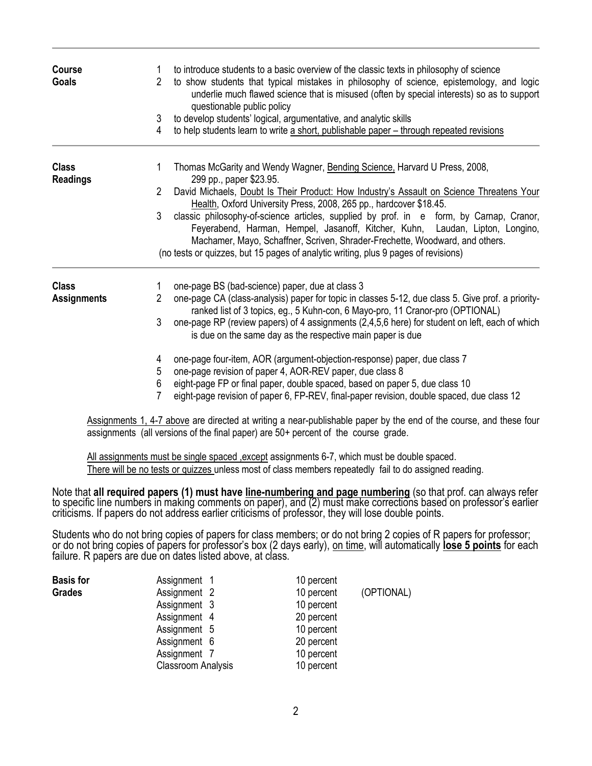| <b>Course</b><br><b>Goals</b>   | $\overline{2}$<br>3<br>4 | to introduce students to a basic overview of the classic texts in philosophy of science<br>to show students that typical mistakes in philosophy of science, epistemology, and logic<br>underlie much flawed science that is misused (often by special interests) so as to support<br>questionable public policy<br>to develop students' logical, argumentative, and analytic skills<br>to help students learn to write a short, publishable paper - through repeated revisions |
|---------------------------------|--------------------------|--------------------------------------------------------------------------------------------------------------------------------------------------------------------------------------------------------------------------------------------------------------------------------------------------------------------------------------------------------------------------------------------------------------------------------------------------------------------------------|
| <b>Class</b><br><b>Readings</b> | 1                        | Thomas McGarity and Wendy Wagner, Bending Science, Harvard U Press, 2008,<br>299 pp., paper \$23.95.                                                                                                                                                                                                                                                                                                                                                                           |
|                                 | $\overline{2}$           | David Michaels, Doubt Is Their Product: How Industry's Assault on Science Threatens Your<br>Health, Oxford University Press, 2008, 265 pp., hardcover \$18.45.                                                                                                                                                                                                                                                                                                                 |
|                                 | 3                        | classic philosophy-of-science articles, supplied by prof. in e form, by Carnap, Cranor,<br>Feyerabend, Harman, Hempel, Jasanoff, Kitcher, Kuhn, Laudan, Lipton, Longino,<br>Machamer, Mayo, Schaffner, Scriven, Shrader-Frechette, Woodward, and others.                                                                                                                                                                                                                       |
|                                 |                          | (no tests or quizzes, but 15 pages of analytic writing, plus 9 pages of revisions)                                                                                                                                                                                                                                                                                                                                                                                             |
| <b>Class</b>                    |                          | one-page BS (bad-science) paper, due at class 3                                                                                                                                                                                                                                                                                                                                                                                                                                |
| <b>Assignments</b>              | $\overline{2}$           | one-page CA (class-analysis) paper for topic in classes 5-12, due class 5. Give prof. a priority-<br>ranked list of 3 topics, eg., 5 Kuhn-con, 6 Mayo-pro, 11 Cranor-pro (OPTIONAL)                                                                                                                                                                                                                                                                                            |
|                                 | 3                        | one-page RP (review papers) of 4 assignments (2,4,5,6 here) for student on left, each of which<br>is due on the same day as the respective main paper is due                                                                                                                                                                                                                                                                                                                   |
|                                 | 4<br>5                   | one-page four-item, AOR (argument-objection-response) paper, due class 7<br>one-page revision of paper 4, AOR-REV paper, due class 8                                                                                                                                                                                                                                                                                                                                           |
|                                 | 6<br>7                   | eight-page FP or final paper, double spaced, based on paper 5, due class 10<br>eight-page revision of paper 6, FP-REV, final-paper revision, double spaced, due class 12                                                                                                                                                                                                                                                                                                       |
|                                 |                          | Accianmente 1, 4, 7 eboys are directed at writing a near publisheble paper by the end of the course, and these four                                                                                                                                                                                                                                                                                                                                                            |

Assignments 1, 4-7 above are directed at writing a near-publishable paper by the end of the course, and these four assignments (all versions of the final paper) are 50+ percent of the course grade.

All assignments must be single spaced , except assignments 6-7, which must be double spaced. There will be no tests or quizzes unless most of class members repeatedly fail to do assigned reading.

Note that **all required papers (1) must have line-numbering and page numbering** (so that prof. can always refer to specific line numbers in making comments on paper), and (2) must make corrections based on professor's earlier criticisms. If papers do not address earlier criticisms of professor, they will lose double points.

Students who do not bring copies of papers for class members; or do not bring 2 copies of R papers for professor; or do not bring copies of papers for professor's box (2 days early), on time, will automatically **lose 5 points** for each failure. R papers are due on dates listed above, at class.

|                                                                                                              | (OPTIONAL)                                                                                                                         |
|--------------------------------------------------------------------------------------------------------------|------------------------------------------------------------------------------------------------------------------------------------|
|                                                                                                              |                                                                                                                                    |
|                                                                                                              |                                                                                                                                    |
|                                                                                                              |                                                                                                                                    |
|                                                                                                              |                                                                                                                                    |
|                                                                                                              |                                                                                                                                    |
|                                                                                                              |                                                                                                                                    |
| Assignment 1<br>Assignment 2<br>Assignment 3<br>Assignment 4<br>Assignment 5<br>Assignment 6<br>Assignment 7 | 10 percent<br>10 percent<br>10 percent<br>20 percent<br>10 percent<br>20 percent<br>10 percent<br>Classroom Analysis<br>10 percent |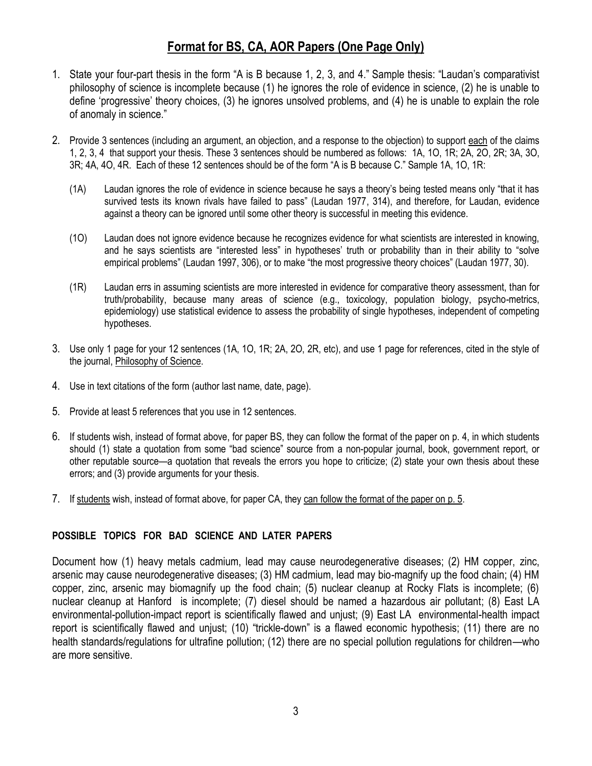# **Format for BS, CA, AOR Papers (One Page Only)**

- 1. State your four-part thesis in the form "A is B because 1, 2, 3, and 4." Sample thesis: "Laudan's comparativist philosophy of science is incomplete because (1) he ignores the role of evidence in science, (2) he is unable to define 'progressive' theory choices, (3) he ignores unsolved problems, and (4) he is unable to explain the role of anomaly in science."
- 2. Provide 3 sentences (including an argument, an objection, and a response to the objection) to support each of the claims 1, 2, 3, 4 that support your thesis. These 3 sentences should be numbered as follows: 1A, 1O, 1R; 2A, 2O, 2R; 3A, 3O, 3R; 4A, 4O, 4R. Each of these 12 sentences should be of the form "A is B because C." Sample 1A, 1O, 1R:
	- (1A) Laudan ignores the role of evidence in science because he says a theory's being tested means only "that it has survived tests its known rivals have failed to pass" (Laudan 1977, 314), and therefore, for Laudan, evidence against a theory can be ignored until some other theory is successful in meeting this evidence.
	- (1O) Laudan does not ignore evidence because he recognizes evidence for what scientists are interested in knowing, and he says scientists are "interested less" in hypotheses' truth or probability than in their ability to "solve empirical problems" (Laudan 1997, 306), or to make "the most progressive theory choices" (Laudan 1977, 30).
	- (1R) Laudan errs in assuming scientists are more interested in evidence for comparative theory assessment, than for truth/probability, because many areas of science (e.g., toxicology, population biology, psycho-metrics, epidemiology) use statistical evidence to assess the probability of single hypotheses, independent of competing hypotheses.
- 3. Use only 1 page for your 12 sentences (1A, 1O, 1R; 2A, 2O, 2R, etc), and use 1 page for references, cited in the style of the journal, Philosophy of Science.
- 4. Use in text citations of the form (author last name, date, page).
- 5. Provide at least 5 references that you use in 12 sentences.
- 6. If students wish, instead of format above, for paper BS, they can follow the format of the paper on p. 4, in which students should (1) state a quotation from some "bad science" source from a non-popular journal, book, government report, or other reputable source—a quotation that reveals the errors you hope to criticize; (2) state your own thesis about these errors; and (3) provide arguments for your thesis.
- 7. If students wish, instead of format above, for paper CA, they can follow the format of the paper on p. 5.

### **POSSIBLE TOPICS FOR BAD SCIENCE AND LATER PAPERS**

Document how (1) heavy metals cadmium, lead may cause neurodegenerative diseases; (2) HM copper, zinc, arsenic may cause neurodegenerative diseases; (3) HM cadmium, lead may bio-magnify up the food chain; (4) HM copper, zinc, arsenic may biomagnify up the food chain; (5) nuclear cleanup at Rocky Flats is incomplete; (6) nuclear cleanup at Hanford is incomplete; (7) diesel should be named a hazardous air pollutant; (8) East LA environmental-pollution-impact report is scientifically flawed and unjust; (9) East LA environmental-health impact report is scientifically flawed and unjust; (10) "trickle-down" is a flawed economic hypothesis; (11) there are no health standards/regulations for ultrafine pollution; (12) there are no special pollution regulations for children—who are more sensitive.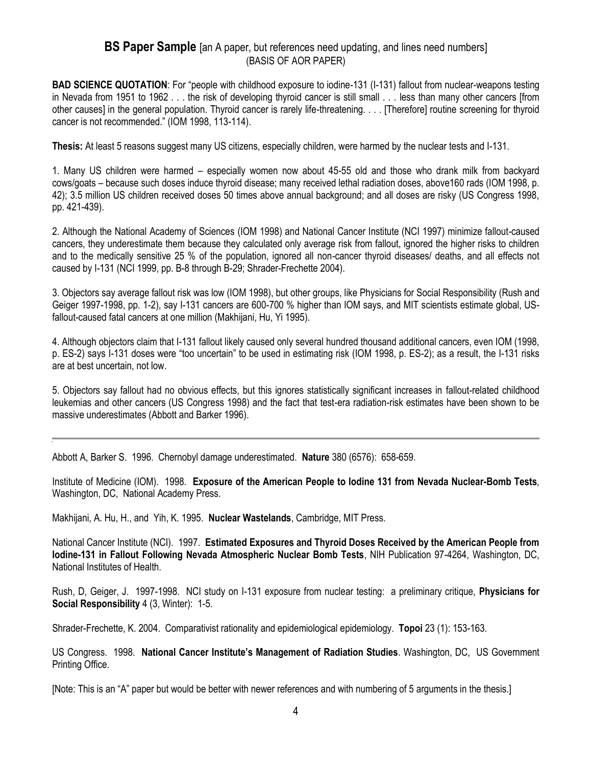### **BS Paper Sample** [an A paper, but references need updating, and lines need numbers] (BASIS OF AOR PAPER)

**BAD SCIENCE QUOTATION:** For "people with childhood exposure to iodine-131 (I-131) fallout from nuclear-weapons testing in Nevada from 1951 to 1962 . . . the risk of developing thyroid cancer is still small . . . less than many other cancers [from other causes] in the general population. Thyroid cancer is rarely life-threatening. . . . [Therefore] routine screening for thyroid cancer is not recommended." (IOM 1998, 113-114).

**Thesis:** At least 5 reasons suggest many US citizens, especially children, were harmed by the nuclear tests and I-131.

1. Many US children were harmed – especially women now about 45-55 old and those who drank milk from backyard cows/goats – because such doses induce thyroid disease; many received lethal radiation doses, above160 rads (IOM 1998, p. 42); 3.5 million US children received doses 50 times above annual background; and all doses are risky (US Congress 1998, pp. 421-439).

2. Although the National Academy of Sciences (IOM 1998) and National Cancer Institute (NCI 1997) minimize fallout-caused cancers, they underestimate them because they calculated only average risk from fallout, ignored the higher risks to children and to the medically sensitive 25 % of the population, ignored all non-cancer thyroid diseases/ deaths, and all effects not caused by I-131 (NCI 1999, pp. B-8 through B-29; Shrader-Frechette 2004).

3. Objectors say average fallout risk was low (IOM 1998), but other groups, like Physicians for Social Responsibility (Rush and Geiger 1997-1998, pp. 1-2), say I-131 cancers are 600-700 % higher than IOM says, and MIT scientists estimate global, USfallout-caused fatal cancers at one million (Makhijani, Hu, Yi 1995).

4. Although objectors claim that I-131 fallout likely caused only several hundred thousand additional cancers, even IOM (1998, p. ES-2) says I-131 doses were "too uncertain" to be used in estimating risk (IOM 1998, p. ES-2); as a result, the I-131 risks are at best uncertain, not low.

5. Objectors say fallout had no obvious effects, but this ignores statistically significant increases in fallout-related childhood leukemias and other cancers (US Congress 1998) and the fact that test-era radiation-risk estimates have been shown to be massive underestimates (Abbott and Barker 1996).

Abbott A, Barker S. 1996. Chernobyl damage underestimated. **Nature** 380 (6576): 658-659.

Institute of Medicine (IOM). 1998. **Exposure of the American People to Iodine 131 from Nevada Nuclear-Bomb Tests***,*  Washington, DC, National Academy Press.

Makhijani, A. Hu, H., and Yih, K. 1995. **Nuclear Wastelands**, Cambridge, MIT Press.

National Cancer Institute (NCI). 1997. **Estimated Exposures and Thyroid Doses Received by the American People from Iodine-131 in Fallout Following Nevada Atmospheric Nuclear Bomb Tests**, NIH Publication 97-4264, Washington, DC, National Institutes of Health.

Rush, D, Geiger, J. 1997-1998. NCI study on I-131 exposure from nuclear testing: a preliminary critique, **Physicians for Social Responsibility** 4 (3, Winter): 1-5.

Shrader-Frechette, K. 2004. Comparativist rationality and epidemiological epidemiology. **Topoi** 23 (1): 153-163.

US Congress. 1998. **National Cancer Institute's Management of Radiation Studies**. Washington, DC, US Government Printing Office.

[Note: This is an "A" paper but would be better with newer references and with numbering of 5 arguments in the thesis.]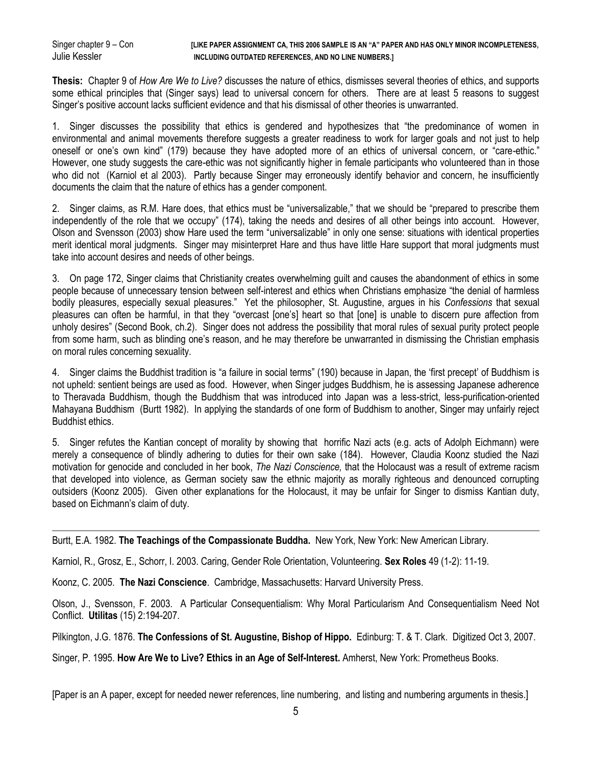#### Singer chapter 9 – Con **[LIKE PAPER ASSIGNMENT CA, THIS 2006 SAMPLE IS AN "A" PAPER AND HAS ONLY MINOR INCOMPLETENESS,**  Julie Kessler **Including Outdated References, and no line numbers.**

**Thesis:** Chapter 9 of *How Are We to Live?* discusses the nature of ethics, dismisses several theories of ethics, and supports some ethical principles that (Singer says) lead to universal concern for others. There are at least 5 reasons to suggest Singer's positive account lacks sufficient evidence and that his dismissal of other theories is unwarranted.

1. Singer discusses the possibility that ethics is gendered and hypothesizes that "the predominance of women in environmental and animal movements therefore suggests a greater readiness to work for larger goals and not just to help oneself or one's own kind" (179) because they have adopted more of an ethics of universal concern, or "care-ethic." However, one study suggests the care-ethic was not significantly higher in female participants who volunteered than in those who did not (Karniol et al 2003). Partly because Singer may erroneously identify behavior and concern, he insufficiently documents the claim that the nature of ethics has a gender component.

2. Singer claims, as R.M. Hare does, that ethics must be "universalizable," that we should be "prepared to prescribe them independently of the role that we occupy" (174), taking the needs and desires of all other beings into account. However, Olson and Svensson (2003) show Hare used the term "universalizable" in only one sense: situations with identical properties merit identical moral judgments. Singer may misinterpret Hare and thus have little Hare support that moral judgments must take into account desires and needs of other beings.

3. On page 172, Singer claims that Christianity creates overwhelming guilt and causes the abandonment of ethics in some people because of unnecessary tension between self-interest and ethics when Christians emphasize "the denial of harmless bodily pleasures, especially sexual pleasures." Yet the philosopher, St. Augustine, argues in his *Confessions* that sexual pleasures can often be harmful, in that they "overcast [one's] heart so that [one] is unable to discern pure affection from unholy desires" (Second Book, ch.2). Singer does not address the possibility that moral rules of sexual purity protect people from some harm, such as blinding one's reason, and he may therefore be unwarranted in dismissing the Christian emphasis on moral rules concerning sexuality.

4. Singer claims the Buddhist tradition is "a failure in social terms" (190) because in Japan, the 'first precept' of Buddhism is not upheld: sentient beings are used as food. However, when Singer judges Buddhism, he is assessing Japanese adherence to Theravada Buddhism, though the Buddhism that was introduced into Japan was a less-strict, less-purification-oriented Mahayana Buddhism (Burtt 1982). In applying the standards of one form of Buddhism to another, Singer may unfairly reject Buddhist ethics.

5. Singer refutes the Kantian concept of morality by showing that horrific Nazi acts (e.g. acts of Adolph Eichmann) were merely a consequence of blindly adhering to duties for their own sake (184). However, Claudia Koonz studied the Nazi motivation for genocide and concluded in her book, *The Nazi Conscience,* that the Holocaust was a result of extreme racism that developed into violence, as German society saw the ethnic majority as morally righteous and denounced corrupting outsiders (Koonz 2005). Given other explanations for the Holocaust, it may be unfair for Singer to dismiss Kantian duty, based on Eichmann's claim of duty.

Burtt, E.A. 1982. **The Teachings of the Compassionate Buddha.** New York, New York: New American Library.

Karniol, R., Grosz, E., Schorr, I. 2003. Caring, Gender Role Orientation, Volunteering. **Sex Roles** 49 (1-2): 11-19.

Koonz, C. 2005. **The Nazi Conscience**. Cambridge, Massachusetts: Harvard University Press.

Olson, J., Svensson, F. 2003. A Particular Consequentialism: Why Moral Particularism And Consequentialism Need Not Conflict. **Utilitas** (15) 2:194-207.

Pilkington, J.G. 1876. **The Confessions of St. Augustine, Bishop of Hippo.** Edinburg: T. & T. Clark. Digitized Oct 3, 2007.

Singer, P. 1995. **How Are We to Live? Ethics in an Age of Self-Interest.** Amherst, New York: Prometheus Books.

[Paper is an A paper, except for needed newer references, line numbering, and listing and numbering arguments in thesis.]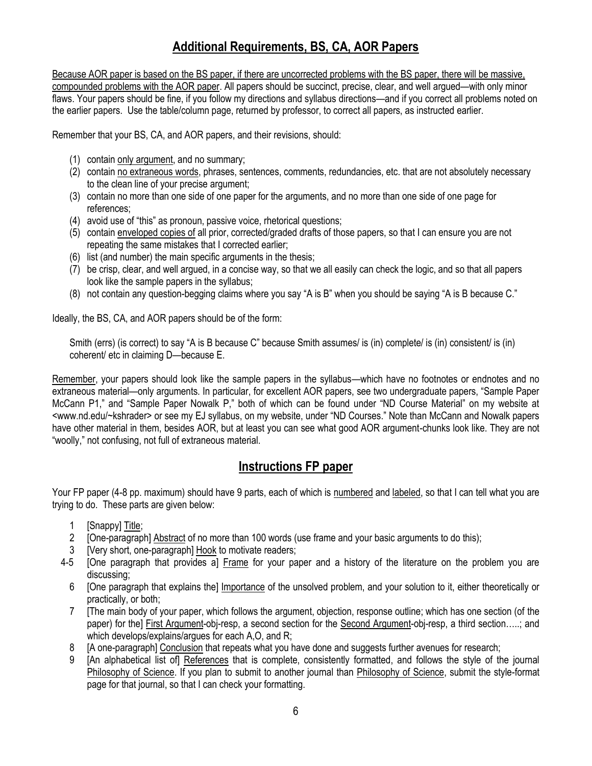# **Additional Requirements, BS, CA, AOR Papers**

Because AOR paper is based on the BS paper, if there are uncorrected problems with the BS paper, there will be massive, compounded problems with the AOR paper. All papers should be succinct, precise, clear, and well argued—with only minor flaws. Your papers should be fine, if you follow my directions and syllabus directions—and if you correct all problems noted on the earlier papers. Use the table/column page, returned by professor, to correct all papers, as instructed earlier.

Remember that your BS, CA, and AOR papers, and their revisions, should:

- (1) contain only argument, and no summary;
- (2) contain no extraneous words, phrases, sentences, comments, redundancies, etc. that are not absolutely necessary to the clean line of your precise argument;
- (3) contain no more than one side of one paper for the arguments, and no more than one side of one page for references;
- (4) avoid use of "this" as pronoun, passive voice, rhetorical questions;
- (5) contain enveloped copies of all prior, corrected/graded drafts of those papers, so that I can ensure you are not repeating the same mistakes that I corrected earlier;
- (6) list (and number) the main specific arguments in the thesis;
- (7) be crisp, clear, and well argued, in a concise way, so that we all easily can check the logic, and so that all papers look like the sample papers in the syllabus;
- (8) not contain any question-begging claims where you say "A is B" when you should be saying "A is B because C."

Ideally, the BS, CA, and AOR papers should be of the form:

Smith (errs) (is correct) to say "A is B because C" because Smith assumes/ is (in) complete/ is (in) consistent/ is (in) coherent/ etc in claiming D—because E.

Remember, your papers should look like the sample papers in the syllabus—which have no footnotes or endnotes and no extraneous material—only arguments. In particular, for excellent AOR papers, see two undergraduate papers, "Sample Paper McCann P1," and "Sample Paper Nowalk P," both of which can be found under "ND Course Material" on my website at <www.nd.edu/~kshrader> or see my EJ syllabus, on my website, under "ND Courses." Note than McCann and Nowalk papers have other material in them, besides AOR, but at least you can see what good AOR argument-chunks look like. They are not "woolly," not confusing, not full of extraneous material.

### **Instructions FP paper**

Your FP paper (4-8 pp. maximum) should have 9 parts, each of which is numbered and labeled, so that I can tell what you are trying to do. These parts are given below:

- 1 [Snappy] Title;
- 2 [One-paragraph] Abstract of no more than 100 words (use frame and your basic arguments to do this);
- [Very short, one-paragraph] Hook to motivate readers;
- 4-5 [One paragraph that provides a] Frame for your paper and a history of the literature on the problem you are discussing;
	- 6 [One paragraph that explains the] Importance of the unsolved problem, and your solution to it, either theoretically or practically, or both;
	- 7 [The main body of your paper, which follows the argument, objection, response outline; which has one section (of the paper) for the] First Argument-obj-resp, a second section for the Second Argument-obj-resp, a third section…..; and which develops/explains/argues for each A,O, and R;
	- [A one-paragraph] Conclusion that repeats what you have done and suggests further avenues for research;
	- 9 [An alphabetical list of] References that is complete, consistently formatted, and follows the style of the journal Philosophy of Science. If you plan to submit to another journal than Philosophy of Science, submit the style-format page for that journal, so that I can check your formatting.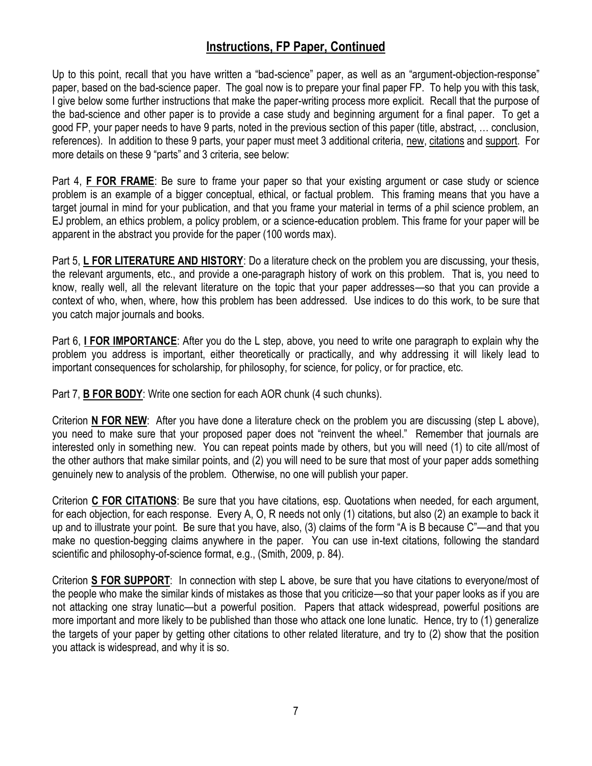# **Instructions, FP Paper, Continued**

Up to this point, recall that you have written a "bad-science" paper, as well as an "argument-objection-response" paper, based on the bad-science paper. The goal now is to prepare your final paper FP. To help you with this task, I give below some further instructions that make the paper-writing process more explicit. Recall that the purpose of the bad-science and other paper is to provide a case study and beginning argument for a final paper. To get a good FP, your paper needs to have 9 parts, noted in the previous section of this paper (title, abstract, … conclusion, references). In addition to these 9 parts, your paper must meet 3 additional criteria, new, citations and support. For more details on these 9 "parts" and 3 criteria, see below:

Part 4, **F FOR FRAME**: Be sure to frame your paper so that your existing argument or case study or science problem is an example of a bigger conceptual, ethical, or factual problem. This framing means that you have a target journal in mind for your publication, and that you frame your material in terms of a phil science problem, an EJ problem, an ethics problem, a policy problem, or a science-education problem. This frame for your paper will be apparent in the abstract you provide for the paper (100 words max).

Part 5, **L FOR LITERATURE AND HISTORY**: Do a literature check on the problem you are discussing, your thesis, the relevant arguments, etc., and provide a one-paragraph history of work on this problem. That is, you need to know, really well, all the relevant literature on the topic that your paper addresses—so that you can provide a context of who, when, where, how this problem has been addressed. Use indices to do this work, to be sure that you catch major journals and books.

Part 6, **I FOR IMPORTANCE**: After you do the L step, above, you need to write one paragraph to explain why the problem you address is important, either theoretically or practically, and why addressing it will likely lead to important consequences for scholarship, for philosophy, for science, for policy, or for practice, etc.

Part 7, **B FOR BODY**: Write one section for each AOR chunk (4 such chunks).

Criterion **N FOR NEW**: After you have done a literature check on the problem you are discussing (step L above), you need to make sure that your proposed paper does not "reinvent the wheel." Remember that journals are interested only in something new. You can repeat points made by others, but you will need (1) to cite all/most of the other authors that make similar points, and (2) you will need to be sure that most of your paper adds something genuinely new to analysis of the problem. Otherwise, no one will publish your paper.

Criterion **C FOR CITATIONS**: Be sure that you have citations, esp. Quotations when needed, for each argument, for each objection, for each response. Every A, O, R needs not only (1) citations, but also (2) an example to back it up and to illustrate your point. Be sure that you have, also, (3) claims of the form "A is B because C"—and that you make no question-begging claims anywhere in the paper. You can use in-text citations, following the standard scientific and philosophy-of-science format, e.g., (Smith, 2009, p. 84).

Criterion **S FOR SUPPORT**: In connection with step L above, be sure that you have citations to everyone/most of the people who make the similar kinds of mistakes as those that you criticize—so that your paper looks as if you are not attacking one stray lunatic—but a powerful position. Papers that attack widespread, powerful positions are more important and more likely to be published than those who attack one lone lunatic. Hence, try to (1) generalize the targets of your paper by getting other citations to other related literature, and try to (2) show that the position you attack is widespread, and why it is so.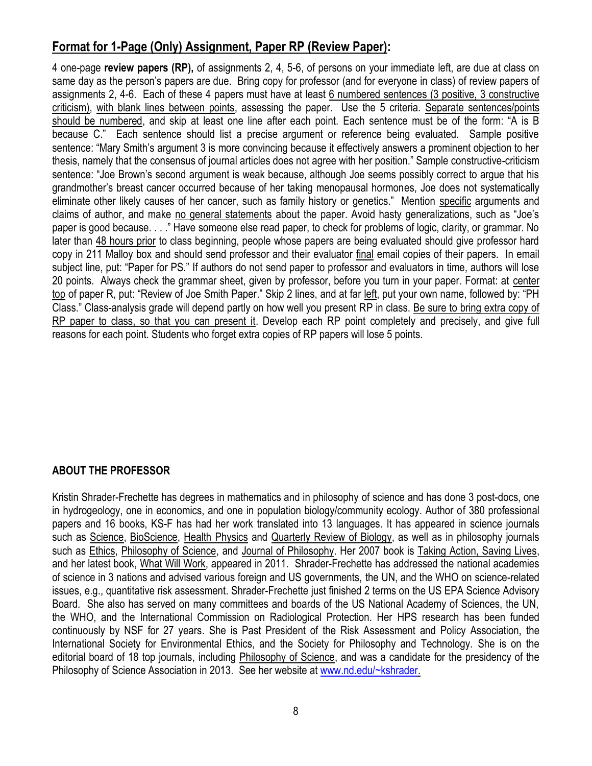# **Format for 1-Page (Only) Assignment, Paper RP (Review Paper):**

4 one-page **review papers (RP),** of assignments 2, 4, 5-6, of persons on your immediate left, are due at class on same day as the person's papers are due. Bring copy for professor (and for everyone in class) of review papers of assignments 2, 4-6. Each of these 4 papers must have at least 6 numbered sentences (3 positive, 3 constructive criticism), with blank lines between points, assessing the paper. Use the 5 criteria. Separate sentences/points should be numbered, and skip at least one line after each point. Each sentence must be of the form: "A is B because C." Each sentence should list a precise argument or reference being evaluated. Sample positive sentence: "Mary Smith's argument 3 is more convincing because it effectively answers a prominent objection to her thesis, namely that the consensus of journal articles does not agree with her position." Sample constructive-criticism sentence: "Joe Brown's second argument is weak because, although Joe seems possibly correct to argue that his grandmother's breast cancer occurred because of her taking menopausal hormones, Joe does not systematically eliminate other likely causes of her cancer, such as family history or genetics." Mention specific arguments and claims of author, and make no general statements about the paper. Avoid hasty generalizations, such as "Joe's paper is good because. . . ." Have someone else read paper, to check for problems of logic, clarity, or grammar. No later than 48 hours prior to class beginning, people whose papers are being evaluated should give professor hard copy in 211 Malloy box and should send professor and their evaluator final email copies of their papers. In email subject line, put: "Paper for PS." If authors do not send paper to professor and evaluators in time, authors will lose 20 points. Always check the grammar sheet, given by professor, before you turn in your paper. Format: at center top of paper R, put: "Review of Joe Smith Paper." Skip 2 lines, and at far left, put your own name, followed by: "PH Class." Class-analysis grade will depend partly on how well you present RP in class. Be sure to bring extra copy of RP paper to class, so that you can present it. Develop each RP point completely and precisely, and give full reasons for each point. Students who forget extra copies of RP papers will lose 5 points.

### **ABOUT THE PROFESSOR**

Kristin Shrader-Frechette has degrees in mathematics and in philosophy of science and has done 3 post-docs, one in hydrogeology, one in economics, and one in population biology/community ecology. Author of 380 professional papers and 16 books, KS-F has had her work translated into 13 languages. It has appeared in science journals such as Science, BioScience, Health Physics and Quarterly Review of Biology, as well as in philosophy journals such as Ethics, Philosophy of Science, and Journal of Philosophy. Her 2007 book is Taking Action, Saving Lives, and her latest book, What Will Work, appeared in 2011. Shrader-Frechette has addressed the national academies of science in 3 nations and advised various foreign and US governments, the UN, and the WHO on science-related issues, e.g., quantitative risk assessment. Shrader-Frechette just finished 2 terms on the US EPA Science Advisory Board. She also has served on many committees and boards of the US National Academy of Sciences, the UN, the WHO, and the International Commission on Radiological Protection. Her HPS research has been funded continuously by NSF for 27 years. She is Past President of the Risk Assessment and Policy Association, the International Society for Environmental Ethics, and the Society for Philosophy and Technology. She is on the editorial board of 18 top journals, including Philosophy of Science, and was a candidate for the presidency of the Philosophy of Science Association in 2013. See her website at [www.nd.edu/~kshrader.](http://www.nd.edu/~kshrader)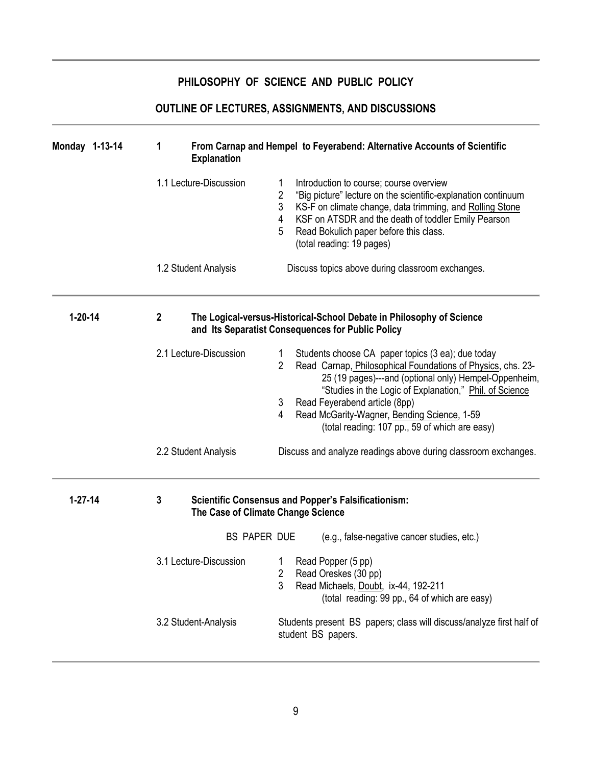### **PHILOSOPHY OF SCIENCE AND PUBLIC POLICY**

# **OUTLINE OF LECTURES, ASSIGNMENTS, AND DISCUSSIONS**

| Monday 1-13-14 | From Carnap and Hempel to Feyerabend: Alternative Accounts of Scientific<br>1<br><b>Explanation</b>                                           |                                                                                                                                                                                                                                                                                                                                                                                                         |  |  |
|----------------|-----------------------------------------------------------------------------------------------------------------------------------------------|---------------------------------------------------------------------------------------------------------------------------------------------------------------------------------------------------------------------------------------------------------------------------------------------------------------------------------------------------------------------------------------------------------|--|--|
|                | 1.1 Lecture-Discussion                                                                                                                        | Introduction to course; course overview<br>2<br>"Big picture" lecture on the scientific-explanation continuum<br>3<br>KS-F on climate change, data trimming, and Rolling Stone<br>KSF on ATSDR and the death of toddler Emily Pearson<br>4<br>Read Bokulich paper before this class.<br>5<br>(total reading: 19 pages)                                                                                  |  |  |
|                | 1.2 Student Analysis                                                                                                                          | Discuss topics above during classroom exchanges.                                                                                                                                                                                                                                                                                                                                                        |  |  |
| $1 - 20 - 14$  | $\boldsymbol{2}$<br>The Logical-versus-Historical-School Debate in Philosophy of Science<br>and Its Separatist Consequences for Public Policy |                                                                                                                                                                                                                                                                                                                                                                                                         |  |  |
|                | 2.1 Lecture-Discussion                                                                                                                        | Students choose CA paper topics (3 ea); due today<br>1<br>$\overline{2}$<br>Read Carnap, Philosophical Foundations of Physics, chs. 23-<br>25 (19 pages)---and (optional only) Hempel-Oppenheim,<br>"Studies in the Logic of Explanation," Phil. of Science<br>Read Feyerabend article (8pp)<br>3<br>Read McGarity-Wagner, Bending Science, 1-59<br>4<br>(total reading: 107 pp., 59 of which are easy) |  |  |
|                | 2.2 Student Analysis                                                                                                                          | Discuss and analyze readings above during classroom exchanges.                                                                                                                                                                                                                                                                                                                                          |  |  |
| $1 - 27 - 14$  | 3<br><b>Scientific Consensus and Popper's Falsificationism:</b><br>The Case of Climate Change Science                                         |                                                                                                                                                                                                                                                                                                                                                                                                         |  |  |
|                | <b>BS PAPER DUE</b>                                                                                                                           | (e.g., false-negative cancer studies, etc.)                                                                                                                                                                                                                                                                                                                                                             |  |  |
|                | 3.1 Lecture-Discussion                                                                                                                        | Read Popper (5 pp)<br>2<br>Read Oreskes (30 pp)<br>3<br>Read Michaels, Doubt, ix-44, 192-211<br>(total reading: 99 pp., 64 of which are easy)                                                                                                                                                                                                                                                           |  |  |
|                | 3.2 Student-Analysis                                                                                                                          | Students present BS papers; class will discuss/analyze first half of<br>student BS papers.                                                                                                                                                                                                                                                                                                              |  |  |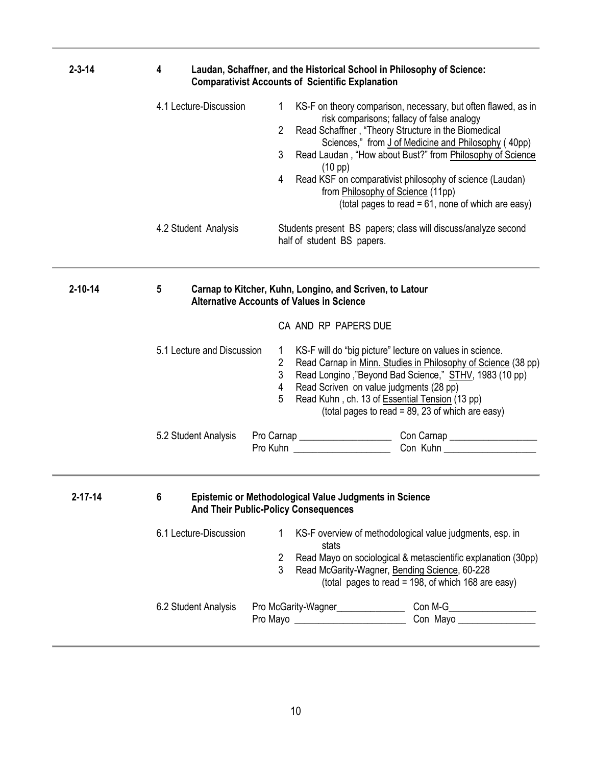| $2 - 3 - 14$  | Laudan, Schaffner, and the Historical School in Philosophy of Science:<br>4<br><b>Comparativist Accounts of Scientific Explanation</b> |                                                                                                              |                                                                                                                                                                                                                                                                                                                                                                                                                                               |  |
|---------------|----------------------------------------------------------------------------------------------------------------------------------------|--------------------------------------------------------------------------------------------------------------|-----------------------------------------------------------------------------------------------------------------------------------------------------------------------------------------------------------------------------------------------------------------------------------------------------------------------------------------------------------------------------------------------------------------------------------------------|--|
|               | 4.1 Lecture-Discussion                                                                                                                 | 1<br>$\overline{2}$<br>3<br>$(10 \text{ pp})$<br>4                                                           | KS-F on theory comparison, necessary, but often flawed, as in<br>risk comparisons; fallacy of false analogy<br>Read Schaffner, "Theory Structure in the Biomedical<br>Sciences," from J of Medicine and Philosophy (40pp)<br>Read Laudan, "How about Bust?" from Philosophy of Science<br>Read KSF on comparativist philosophy of science (Laudan)<br>from Philosophy of Science (11pp)<br>(total pages to read = 61, none of which are easy) |  |
|               | 4.2 Student Analysis                                                                                                                   | half of student BS papers.                                                                                   | Students present BS papers; class will discuss/analyze second                                                                                                                                                                                                                                                                                                                                                                                 |  |
| $2 - 10 - 14$ | 5                                                                                                                                      | Carnap to Kitcher, Kuhn, Longino, and Scriven, to Latour<br><b>Alternative Accounts of Values in Science</b> |                                                                                                                                                                                                                                                                                                                                                                                                                                               |  |
|               |                                                                                                                                        | CA AND RP PAPERS DUE                                                                                         |                                                                                                                                                                                                                                                                                                                                                                                                                                               |  |
|               | 5.1 Lecture and Discussion                                                                                                             | 1<br>$\mathbf{2}$<br>3<br>Read Scriven on value judgments (28 pp)<br>4<br>5                                  | KS-F will do "big picture" lecture on values in science.<br>Read Carnap in Minn. Studies in Philosophy of Science (38 pp)<br>Read Longino, "Beyond Bad Science," STHV, 1983 (10 pp)<br>Read Kuhn, ch. 13 of Essential Tension (13 pp)<br>(total pages to read = 89, 23 of which are easy)                                                                                                                                                     |  |
|               | 5.2 Student Analysis                                                                                                                   |                                                                                                              | Pro Kuhn <u>Connective Connection Connective Connection</u>                                                                                                                                                                                                                                                                                                                                                                                   |  |
|               |                                                                                                                                        |                                                                                                              |                                                                                                                                                                                                                                                                                                                                                                                                                                               |  |
| 2-17-14       | Epistemic or Methodological Value Judgments in Science<br>6<br><b>And Their Public-Policy Consequences</b>                             |                                                                                                              |                                                                                                                                                                                                                                                                                                                                                                                                                                               |  |
|               | 6.1 Lecture-Discussion                                                                                                                 | 1<br>stats<br>$\mathbf{2}$<br>3                                                                              | KS-F overview of methodological value judgments, esp. in<br>Read Mayo on sociological & metascientific explanation (30pp)<br>Read McGarity-Wagner, Bending Science, 60-228                                                                                                                                                                                                                                                                    |  |
|               |                                                                                                                                        |                                                                                                              | (total pages to read = 198, of which 168 are easy)                                                                                                                                                                                                                                                                                                                                                                                            |  |
|               | 6.2 Student Analysis                                                                                                                   |                                                                                                              | Pro McGarity-Wagner___________________________Con M-G___________________________                                                                                                                                                                                                                                                                                                                                                              |  |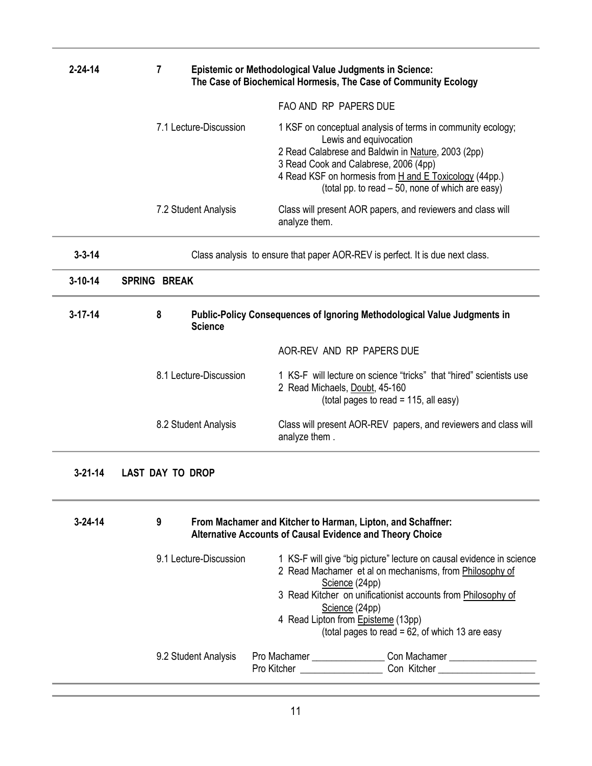| $2 - 24 - 14$ | 7                                                                                               | <b>Epistemic or Methodological Value Judgments in Science:</b><br>The Case of Biochemical Hormesis, The Case of Community Ecology |                                                                                                                                                                                                                                                                                                                                 |  |  |
|---------------|-------------------------------------------------------------------------------------------------|-----------------------------------------------------------------------------------------------------------------------------------|---------------------------------------------------------------------------------------------------------------------------------------------------------------------------------------------------------------------------------------------------------------------------------------------------------------------------------|--|--|
|               |                                                                                                 | FAO AND RP PAPERS DUE                                                                                                             |                                                                                                                                                                                                                                                                                                                                 |  |  |
|               | 7.1 Lecture-Discussion                                                                          |                                                                                                                                   | 1 KSF on conceptual analysis of terms in community ecology;<br>Lewis and equivocation<br>2 Read Calabrese and Baldwin in Nature, 2003 (2pp)<br>3 Read Cook and Calabrese, 2006 (4pp)<br>4 Read KSF on hormesis from H and E Toxicology (44pp.)<br>(total pp. to read - 50, none of which are easy)                              |  |  |
|               | 7.2 Student Analysis                                                                            | analyze them.                                                                                                                     | Class will present AOR papers, and reviewers and class will                                                                                                                                                                                                                                                                     |  |  |
| $3 - 3 - 14$  |                                                                                                 | Class analysis to ensure that paper AOR-REV is perfect. It is due next class.                                                     |                                                                                                                                                                                                                                                                                                                                 |  |  |
| $3 - 10 - 14$ | <b>SPRING BREAK</b>                                                                             |                                                                                                                                   |                                                                                                                                                                                                                                                                                                                                 |  |  |
| $3 - 17 - 14$ | 8<br>Public-Policy Consequences of Ignoring Methodological Value Judgments in<br><b>Science</b> |                                                                                                                                   |                                                                                                                                                                                                                                                                                                                                 |  |  |
|               |                                                                                                 |                                                                                                                                   | AOR-REV AND RP PAPERS DUE                                                                                                                                                                                                                                                                                                       |  |  |
|               | 8.1 Lecture-Discussion                                                                          |                                                                                                                                   | 1 KS-F will lecture on science "tricks" that "hired" scientists use<br>2 Read Michaels, Doubt, 45-160<br>(total pages to read = 115, all easy)                                                                                                                                                                                  |  |  |
|               | 8.2 Student Analysis                                                                            | analyze them.                                                                                                                     | Class will present AOR-REV papers, and reviewers and class will                                                                                                                                                                                                                                                                 |  |  |
| $3 - 21 - 14$ | <b>LAST DAY TO DROP</b>                                                                         |                                                                                                                                   |                                                                                                                                                                                                                                                                                                                                 |  |  |
| $3 - 24 - 14$ | 9                                                                                               | From Machamer and Kitcher to Harman, Lipton, and Schaffner:<br><b>Alternative Accounts of Causal Evidence and Theory Choice</b>   |                                                                                                                                                                                                                                                                                                                                 |  |  |
|               | 9.1 Lecture-Discussion                                                                          |                                                                                                                                   | 1 KS-F will give "big picture" lecture on causal evidence in science<br>2 Read Machamer et al on mechanisms, from Philosophy of<br>Science (24pp)<br>3 Read Kitcher on unificationist accounts from Philosophy of<br>Science (24pp)<br>4 Read Lipton from Episteme (13pp)<br>(total pages to read = $62$ , of which 13 are easy |  |  |
|               | 9.2 Student Analysis                                                                            |                                                                                                                                   | Pro Machamer _________________________________Con Machamer _____________________                                                                                                                                                                                                                                                |  |  |
|               |                                                                                                 |                                                                                                                                   |                                                                                                                                                                                                                                                                                                                                 |  |  |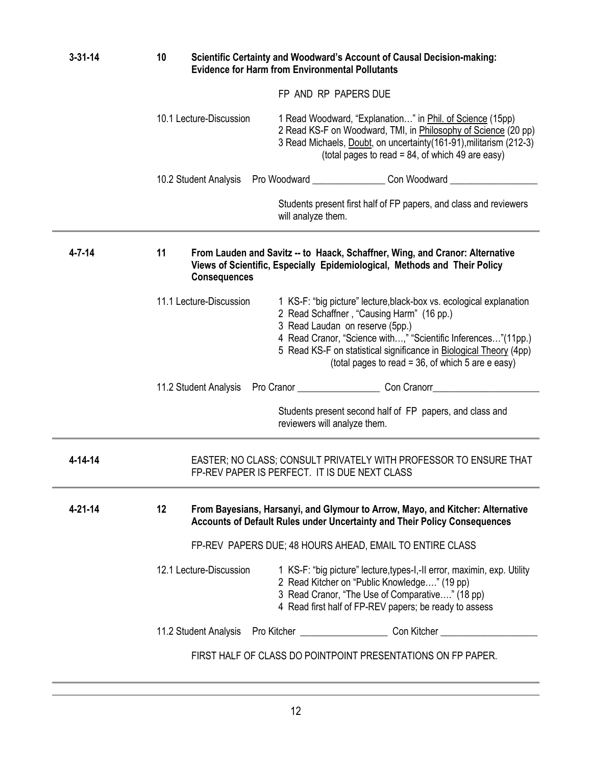| $3 - 31 - 14$ | 10<br>Scientific Certainty and Woodward's Account of Causal Decision-making:<br><b>Evidence for Harm from Environmental Pollutants</b>                                                                                                                                                                                                                                     |  |  |  |
|---------------|----------------------------------------------------------------------------------------------------------------------------------------------------------------------------------------------------------------------------------------------------------------------------------------------------------------------------------------------------------------------------|--|--|--|
|               | FP AND RP PAPERS DUE                                                                                                                                                                                                                                                                                                                                                       |  |  |  |
|               | 10.1 Lecture-Discussion<br>1 Read Woodward, "Explanation" in Phil. of Science (15pp)<br>2 Read KS-F on Woodward, TMI, in Philosophy of Science (20 pp)<br>3 Read Michaels, Doubt, on uncertainty (161-91), militarism (212-3)<br>(total pages to read = $84$ , of which 49 are easy)                                                                                       |  |  |  |
|               | 10.2 Student Analysis Pro Woodward ________________________Con Woodward ____________________________                                                                                                                                                                                                                                                                       |  |  |  |
|               | Students present first half of FP papers, and class and reviewers<br>will analyze them.                                                                                                                                                                                                                                                                                    |  |  |  |
| $4 - 7 - 14$  | 11<br>From Lauden and Savitz -- to Haack, Schaffner, Wing, and Cranor: Alternative<br>Views of Scientific, Especially Epidemiological, Methods and Their Policy<br><b>Consequences</b>                                                                                                                                                                                     |  |  |  |
|               | 11.1 Lecture-Discussion<br>1 KS-F: "big picture" lecture, black-box vs. ecological explanation<br>2 Read Schaffner, "Causing Harm" (16 pp.)<br>3 Read Laudan on reserve (5pp.)<br>4 Read Cranor, "Science with," "Scientific Inferences"(11pp.)<br>5 Read KS-F on statistical significance in Biological Theory (4pp)<br>(total pages to read = 36, of which 5 are e easy) |  |  |  |
|               |                                                                                                                                                                                                                                                                                                                                                                            |  |  |  |
|               | Students present second half of FP papers, and class and<br>reviewers will analyze them.                                                                                                                                                                                                                                                                                   |  |  |  |
| 4-14-14       | EASTER; NO CLASS; CONSULT PRIVATELY WITH PROFESSOR TO ENSURE THAT<br>FP-REV PAPER IS PERFECT. IT IS DUE NEXT CLASS                                                                                                                                                                                                                                                         |  |  |  |
| $4 - 21 - 14$ | 12 <sup>2</sup><br>From Bayesians, Harsanyi, and Glymour to Arrow, Mayo, and Kitcher: Alternative<br>Accounts of Default Rules under Uncertainty and Their Policy Consequences                                                                                                                                                                                             |  |  |  |
|               | FP-REV PAPERS DUE; 48 HOURS AHEAD, EMAIL TO ENTIRE CLASS                                                                                                                                                                                                                                                                                                                   |  |  |  |
|               | 12.1 Lecture-Discussion<br>1 KS-F: "big picture" lecture, types-I,-II error, maximin, exp. Utility<br>2 Read Kitcher on "Public Knowledge" (19 pp)<br>3 Read Cranor, "The Use of Comparative" (18 pp)<br>4 Read first half of FP-REV papers; be ready to assess                                                                                                            |  |  |  |
|               | 11.2 Student Analysis Pro Kitcher ______________________________Con Kitcher                                                                                                                                                                                                                                                                                                |  |  |  |
|               | FIRST HALF OF CLASS DO POINTPOINT PRESENTATIONS ON FP PAPER.                                                                                                                                                                                                                                                                                                               |  |  |  |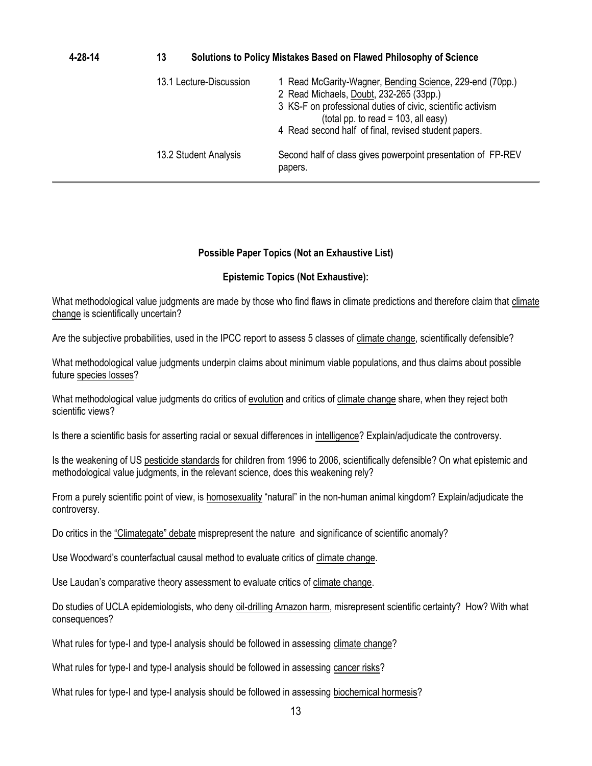| 4-28-14 | Solutions to Policy Mistakes Based on Flawed Philosophy of Science<br>13 |                                                                                                                                                                                                                                                                      |  |  |
|---------|--------------------------------------------------------------------------|----------------------------------------------------------------------------------------------------------------------------------------------------------------------------------------------------------------------------------------------------------------------|--|--|
|         | 13.1 Lecture-Discussion                                                  | 1 Read McGarity-Wagner, Bending Science, 229-end (70pp.)<br>2 Read Michaels, Doubt, 232-265 (33pp.)<br>3 KS-F on professional duties of civic, scientific activism<br>(total pp. to read = $103$ , all easy)<br>4 Read second half of final, revised student papers. |  |  |
|         | 13.2 Student Analysis                                                    | Second half of class gives powerpoint presentation of FP-REV<br>papers.                                                                                                                                                                                              |  |  |

#### **Possible Paper Topics (Not an Exhaustive List)**

#### **Epistemic Topics (Not Exhaustive):**

What methodological value judgments are made by those who find flaws in climate predictions and therefore claim that climate change is scientifically uncertain?

Are the subjective probabilities, used in the IPCC report to assess 5 classes of climate change, scientifically defensible?

What methodological value judgments underpin claims about minimum viable populations, and thus claims about possible future species losses?

What methodological value judgments do critics of evolution and critics of climate change share, when they reject both scientific views?

Is there a scientific basis for asserting racial or sexual differences in intelligence? Explain/adjudicate the controversy.

Is the weakening of US pesticide standards for children from 1996 to 2006, scientifically defensible? On what epistemic and methodological value judgments, in the relevant science, does this weakening rely?

From a purely scientific point of view, is homosexuality "natural" in the non-human animal kingdom? Explain/adjudicate the controversy.

Do critics in the "Climategate" debate misprepresent the nature and significance of scientific anomaly?

Use Woodward's counterfactual causal method to evaluate critics of climate change.

Use Laudan's comparative theory assessment to evaluate critics of climate change.

Do studies of UCLA epidemiologists, who deny oil-drilling Amazon harm, misrepresent scientific certainty? How? With what consequences?

What rules for type-I and type-I analysis should be followed in assessing climate change?

What rules for type-I and type-I analysis should be followed in assessing cancer risks?

What rules for type-I and type-I analysis should be followed in assessing biochemical hormesis?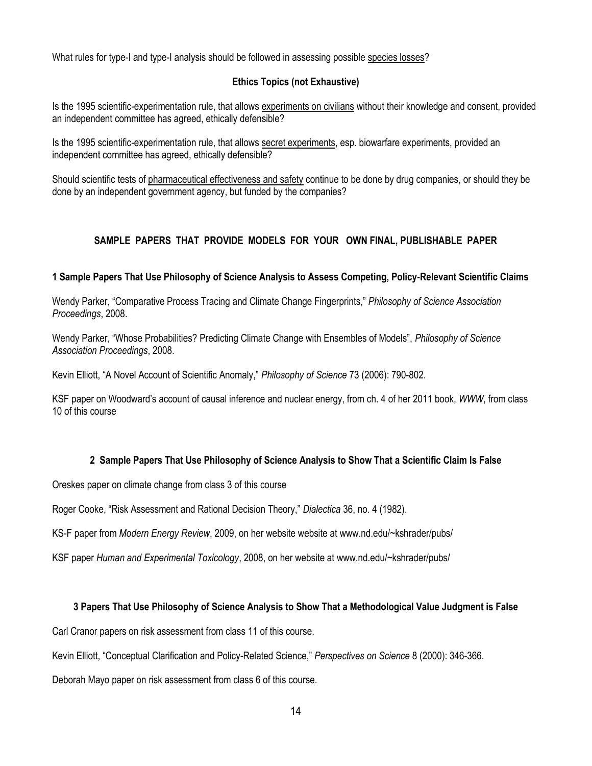What rules for type-I and type-I analysis should be followed in assessing possible species losses?

### **Ethics Topics (not Exhaustive)**

Is the 1995 scientific-experimentation rule, that allows experiments on civilians without their knowledge and consent, provided an independent committee has agreed, ethically defensible?

Is the 1995 scientific-experimentation rule, that allows secret experiments, esp. biowarfare experiments, provided an independent committee has agreed, ethically defensible?

Should scientific tests of pharmaceutical effectiveness and safety continue to be done by drug companies, or should they be done by an independent government agency, but funded by the companies?

### **SAMPLE PAPERS THAT PROVIDE MODELS FOR YOUR OWN FINAL, PUBLISHABLE PAPER**

#### **1 Sample Papers That Use Philosophy of Science Analysis to Assess Competing, Policy-Relevant Scientific Claims**

Wendy Parker, "Comparative Process Tracing and Climate Change Fingerprints," *Philosophy of Science Association Proceedings*, 2008.

Wendy Parker, "Whose Probabilities? Predicting Climate Change with Ensembles of Models", *Philosophy of Science Association Proceedings*, 2008.

Kevin Elliott, "A Novel Account of Scientific Anomaly," *Philosophy of Science* 73 (2006): 790-802.

KSF paper on Woodward's account of causal inference and nuclear energy, from ch. 4 of her 2011 book, *WWW*, from class 10 of this course

### **2 Sample Papers That Use Philosophy of Science Analysis to Show That a Scientific Claim Is False**

Oreskes paper on climate change from class 3 of this course

Roger Cooke, "Risk Assessment and Rational Decision Theory," *Dialectica* 36, no. 4 (1982).

KS-F paper from *Modern Energy Review*, 2009, on her website website at www.nd.edu/~kshrader/pubs/

KSF paper *Human and Experimental Toxicology*, 2008, on her website at www.nd.edu/~kshrader/pubs/

#### **3 Papers That Use Philosophy of Science Analysis to Show That a Methodological Value Judgment is False**

Carl Cranor papers on risk assessment from class 11 of this course.

Kevin Elliott, "Conceptual Clarification and Policy-Related Science," *Perspectives on Science* 8 (2000): 346-366.

Deborah Mayo paper on risk assessment from class 6 of this course.